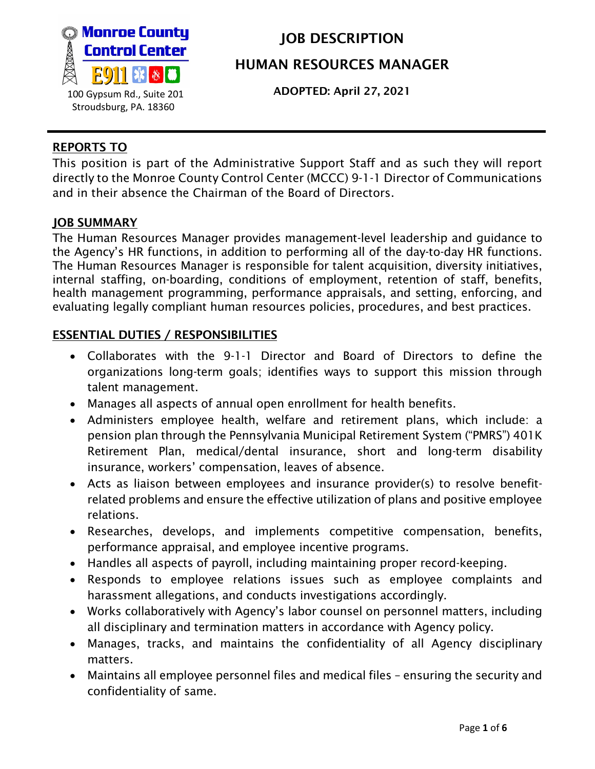

ADOPTED: April 27, 2021

### REPORTS TO

This position is part of the Administrative Support Staff and as such they will report directly to the Monroe County Control Center (MCCC) 9-1-1 Director of Communications and in their absence the Chairman of the Board of Directors.

#### JOB SUMMARY

The Human Resources Manager provides management-level leadership and guidance to the Agency's HR functions, in addition to performing all of the day-to-day HR functions. The Human Resources Manager is responsible for talent acquisition, diversity initiatives, internal staffing, on-boarding, conditions of employment, retention of staff, benefits, health management programming, performance appraisals, and setting, enforcing, and evaluating legally compliant human resources policies, procedures, and best practices.

### ESSENTIAL DUTIES / RESPONSIBILITIES

- Collaborates with the 9-1-1 Director and Board of Directors to define the organizations long-term goals; identifies ways to support this mission through talent management.
- Manages all aspects of annual open enrollment for health benefits.
- Administers employee health, welfare and retirement plans, which include: a pension plan through the Pennsylvania Municipal Retirement System ("PMRS") 401K Retirement Plan, medical/dental insurance, short and long-term disability insurance, workers' compensation, leaves of absence.
- Acts as liaison between employees and insurance provider(s) to resolve benefitrelated problems and ensure the effective utilization of plans and positive employee relations.
- Researches, develops, and implements competitive compensation, benefits, performance appraisal, and employee incentive programs.
- Handles all aspects of payroll, including maintaining proper record-keeping.
- Responds to employee relations issues such as employee complaints and harassment allegations, and conducts investigations accordingly.
- Works collaboratively with Agency's labor counsel on personnel matters, including all disciplinary and termination matters in accordance with Agency policy.
- Manages, tracks, and maintains the confidentiality of all Agency disciplinary matters.
- Maintains all employee personnel files and medical files ensuring the security and confidentiality of same.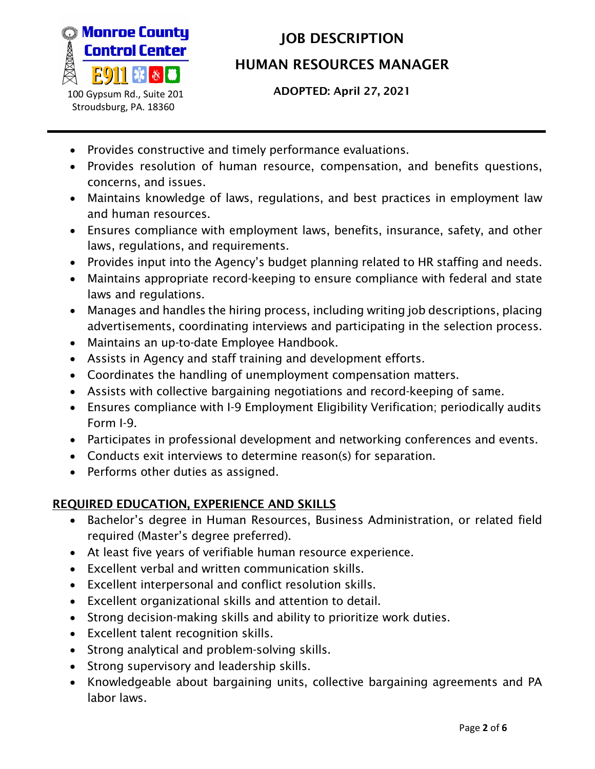

ADOPTED: April 27, 2021

- Provides constructive and timely performance evaluations.
- Provides resolution of human resource, compensation, and benefits questions, concerns, and issues.
- Maintains knowledge of laws, regulations, and best practices in employment law and human resources.
- Ensures compliance with employment laws, benefits, insurance, safety, and other laws, regulations, and requirements.
- Provides input into the Agency's budget planning related to HR staffing and needs.
- Maintains appropriate record-keeping to ensure compliance with federal and state laws and regulations.
- Manages and handles the hiring process, including writing job descriptions, placing advertisements, coordinating interviews and participating in the selection process.
- Maintains an up-to-date Employee Handbook.
- Assists in Agency and staff training and development efforts.
- Coordinates the handling of unemployment compensation matters.
- Assists with collective bargaining negotiations and record-keeping of same.
- Ensures compliance with I-9 Employment Eligibility Verification; periodically audits Form I-9.
- Participates in professional development and networking conferences and events.
- Conducts exit interviews to determine reason(s) for separation.
- Performs other duties as assigned.

## REQUIRED EDUCATION, EXPERIENCE AND SKILLS

- Bachelor's degree in Human Resources, Business Administration, or related field required (Master's degree preferred).
- At least five years of verifiable human resource experience.
- Excellent verbal and written communication skills.
- Excellent interpersonal and conflict resolution skills.
- Excellent organizational skills and attention to detail.
- Strong decision-making skills and ability to prioritize work duties.
- Excellent talent recognition skills.
- Strong analytical and problem-solving skills.
- Strong supervisory and leadership skills.
- Knowledgeable about bargaining units, collective bargaining agreements and PA labor laws.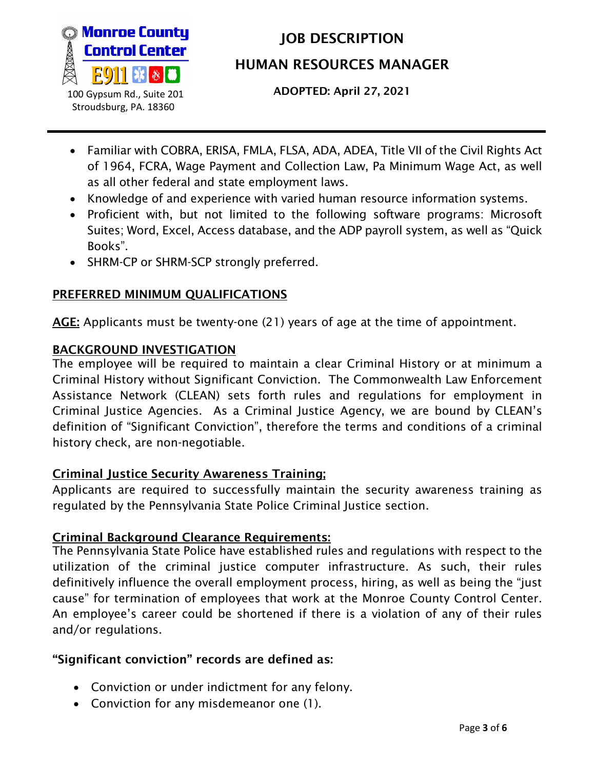

ADOPTED: April 27, 2021

- Familiar with COBRA, ERISA, FMLA, FLSA, ADA, ADEA, Title VII of the Civil Rights Act of 1964, FCRA, Wage Payment and Collection Law, Pa Minimum Wage Act, as well as all other federal and state employment laws.
- Knowledge of and experience with varied human resource information systems.
- Proficient with, but not limited to the following software programs: Microsoft Suites; Word, Excel, Access database, and the ADP payroll system, as well as "Quick Books".
- SHRM-CP or SHRM-SCP strongly preferred.

## PREFERRED MINIMUM QUALIFICATIONS

AGE: Applicants must be twenty-one (21) years of age at the time of appointment.

### BACKGROUND INVESTIGATION

The employee will be required to maintain a clear Criminal History or at minimum a Criminal History without Significant Conviction. The Commonwealth Law Enforcement Assistance Network (CLEAN) sets forth rules and regulations for employment in Criminal Justice Agencies. As a Criminal Justice Agency, we are bound by CLEAN's definition of "Significant Conviction", therefore the terms and conditions of a criminal history check, are non-negotiable.

## Criminal Justice Security Awareness Training;

Applicants are required to successfully maintain the security awareness training as regulated by the Pennsylvania State Police Criminal Justice section.

### Criminal Background Clearance Requirements:

The Pennsylvania State Police have established rules and regulations with respect to the utilization of the criminal justice computer infrastructure. As such, their rules definitively influence the overall employment process, hiring, as well as being the "just cause" for termination of employees that work at the Monroe County Control Center. An employee's career could be shortened if there is a violation of any of their rules and/or regulations.

## "Significant conviction" records are defined as:

- Conviction or under indictment for any felony.
- Conviction for any misdemeanor one (1).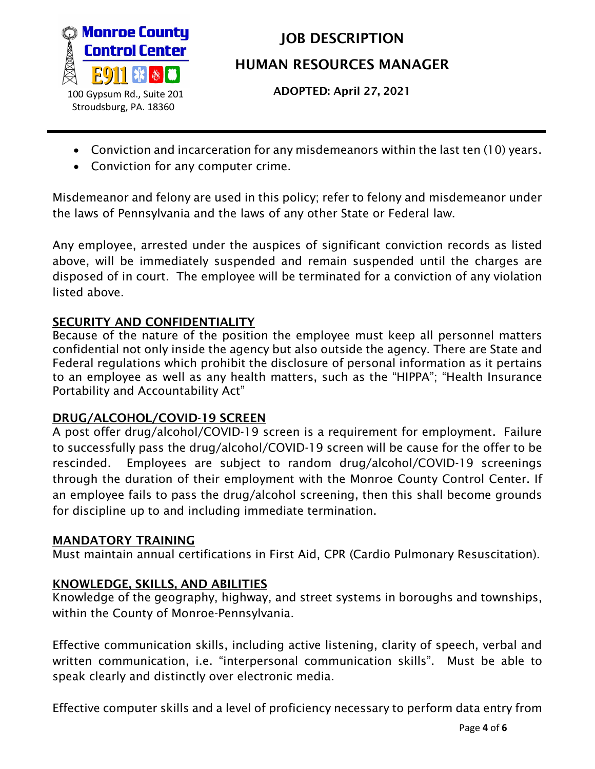

ADOPTED: April 27, 2021

- Conviction and incarceration for any misdemeanors within the last ten (10) years.
- Conviction for any computer crime.

Misdemeanor and felony are used in this policy; refer to felony and misdemeanor under the laws of Pennsylvania and the laws of any other State or Federal law.

Any employee, arrested under the auspices of significant conviction records as listed above, will be immediately suspended and remain suspended until the charges are disposed of in court. The employee will be terminated for a conviction of any violation listed above.

## SECURITY AND CONFIDENTIALITY

Because of the nature of the position the employee must keep all personnel matters confidential not only inside the agency but also outside the agency. There are State and Federal regulations which prohibit the disclosure of personal information as it pertains to an employee as well as any health matters, such as the "HIPPA"; "Health Insurance Portability and Accountability Act"

## DRUG/ALCOHOL/COVID-19 SCREEN

A post offer drug/alcohol/COVID-19 screen is a requirement for employment. Failure to successfully pass the drug/alcohol/COVID-19 screen will be cause for the offer to be rescinded. Employees are subject to random drug/alcohol/COVID-19 screenings through the duration of their employment with the Monroe County Control Center. If an employee fails to pass the drug/alcohol screening, then this shall become grounds for discipline up to and including immediate termination.

### MANDATORY TRAINING

Must maintain annual certifications in First Aid, CPR (Cardio Pulmonary Resuscitation).

### KNOWLEDGE, SKILLS, AND ABILITIES

Knowledge of the geography, highway, and street systems in boroughs and townships, within the County of Monroe-Pennsylvania.

Effective communication skills, including active listening, clarity of speech, verbal and written communication, i.e. "interpersonal communication skills". Must be able to speak clearly and distinctly over electronic media.

Effective computer skills and a level of proficiency necessary to perform data entry from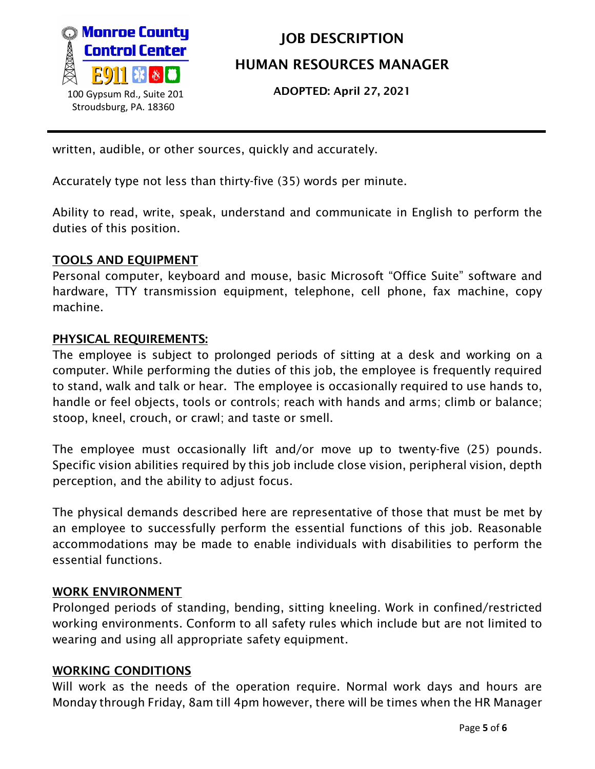

ADOPTED: April 27, 2021

written, audible, or other sources, quickly and accurately.

Accurately type not less than thirty-five (35) words per minute.

Ability to read, write, speak, understand and communicate in English to perform the duties of this position.

#### TOOLS AND EQUIPMENT

Personal computer, keyboard and mouse, basic Microsoft "Office Suite" software and hardware, TTY transmission equipment, telephone, cell phone, fax machine, copy machine.

#### PHYSICAL REQUIREMENTS:

The employee is subject to prolonged periods of sitting at a desk and working on a computer. While performing the duties of this job, the employee is frequently required to stand, walk and talk or hear. The employee is occasionally required to use hands to, handle or feel objects, tools or controls; reach with hands and arms; climb or balance; stoop, kneel, crouch, or crawl; and taste or smell.

The employee must occasionally lift and/or move up to twenty-five (25) pounds. Specific vision abilities required by this job include close vision, peripheral vision, depth perception, and the ability to adjust focus.

The physical demands described here are representative of those that must be met by an employee to successfully perform the essential functions of this job. Reasonable accommodations may be made to enable individuals with disabilities to perform the essential functions.

#### WORK ENVIRONMENT

Prolonged periods of standing, bending, sitting kneeling. Work in confined/restricted working environments. Conform to all safety rules which include but are not limited to wearing and using all appropriate safety equipment.

#### WORKING CONDITIONS

Will work as the needs of the operation require. Normal work days and hours are Monday through Friday, 8am till 4pm however, there will be times when the HR Manager